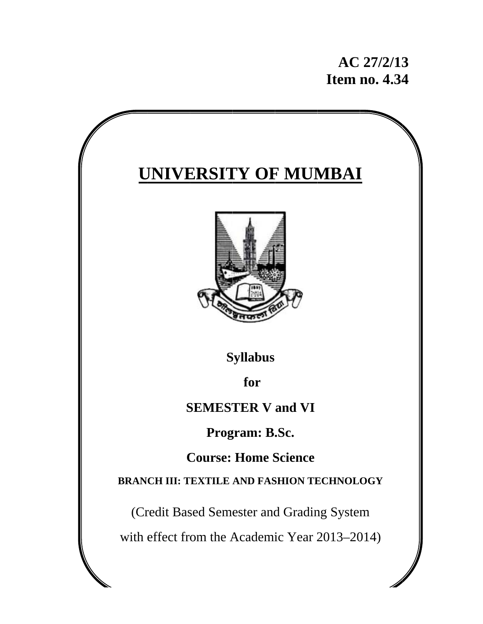# **AC 27/2/13 Item no. 4.34 34**

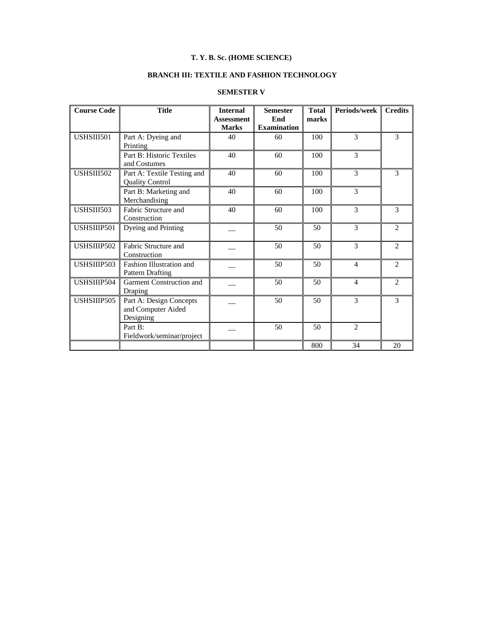# **T. Y. B. Sc. (HOME SCIENCE)**

# **BRANCH III: TEXTILE AND FASHION TECHNOLOGY**

# **SEMESTER V**

| <b>Course Code</b> | <b>Title</b>                                               | <b>Internal</b><br><b>Assessment</b><br><b>Marks</b> | <b>Semester</b><br>End<br><b>Examination</b> | <b>Total</b><br>marks | Periods/week   | <b>Credits</b>           |  |
|--------------------|------------------------------------------------------------|------------------------------------------------------|----------------------------------------------|-----------------------|----------------|--------------------------|--|
| USHSIII501         | Part A: Dyeing and<br>Printing                             | 40                                                   | 60                                           | 100                   | $\mathcal{E}$  | $\mathcal{F}$            |  |
|                    | Part B: Historic Textiles<br>and Costumes                  | 40                                                   | 60                                           | 100                   | 3              |                          |  |
| USHSIII502         | Part A: Textile Testing and<br><b>Quality Control</b>      | 40                                                   | 60                                           | 100                   | 3              | $\overline{\mathcal{E}}$ |  |
|                    | Part B: Marketing and<br>Merchandising                     | 40                                                   | 60                                           | 100                   | 3              |                          |  |
| USHSIII503         | Fabric Structure and<br>Construction                       | 40                                                   | 60                                           | 100                   | 3              | 3                        |  |
| USHSIIIP501        | Dyeing and Printing                                        |                                                      | 50                                           | 50                    | 3              | 2                        |  |
| USHSIIIP502        | Fabric Structure and<br>Construction                       |                                                      | 50                                           | 50                    | 3              | $\overline{c}$           |  |
| USHSIIIP503        | Fashion Illustration and<br><b>Pattern Drafting</b>        |                                                      | 50                                           | 50                    | 4              | 2                        |  |
| USHSIIIP504        | Garment Construction and<br>Draping                        |                                                      | 50                                           | 50                    | 4              | $\overline{2}$           |  |
| USHSIIIP505        | Part A: Design Concepts<br>and Computer Aided<br>Designing |                                                      | 50                                           | 50                    | 3              | 3                        |  |
|                    | Part B:<br>Fieldwork/seminar/project                       |                                                      | 50                                           | 50                    | $\overline{2}$ |                          |  |
|                    |                                                            |                                                      |                                              | 800                   | 34             | 20                       |  |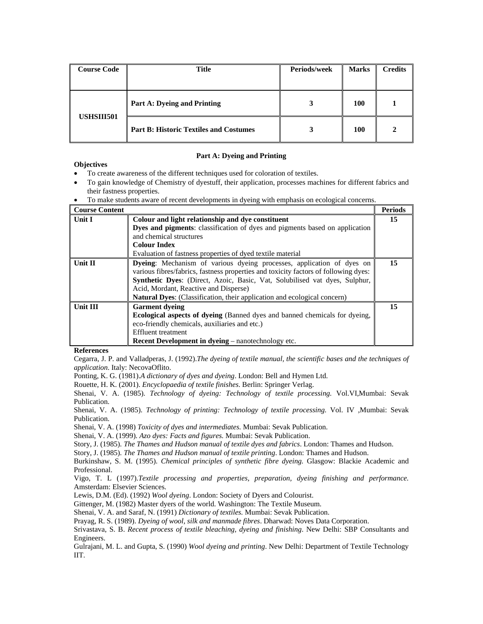| <b>Course Code</b> | <b>Title</b>                                  | Periods/week | <b>Marks</b> | <b>Credits</b> |
|--------------------|-----------------------------------------------|--------------|--------------|----------------|
| <b>USHSIII501</b>  | Part A: Dyeing and Printing                   |              | <b>100</b>   |                |
|                    | <b>Part B: Historic Textiles and Costumes</b> |              | 100          |                |

#### **Part A: Dyeing and Printing**

# **Objectives**

- To create awareness of the different techniques used for coloration of textiles.
- To gain knowledge of Chemistry of dyestuff, their application, processes machines for different fabrics and their fastness properties.
- To make students aware of recent developments in dyeing with emphasis on ecological concerns.

| <b>Course Content</b> |                                                                                     | <b>Periods</b> |
|-----------------------|-------------------------------------------------------------------------------------|----------------|
| <b>Unit I</b>         | Colour and light relationship and dye constituent                                   | 15             |
|                       | Dyes and pigments: classification of dyes and pigments based on application         |                |
|                       | and chemical structures                                                             |                |
|                       | <b>Colour Index</b>                                                                 |                |
|                       | Evaluation of fastness properties of dyed textile material                          |                |
| <b>Unit II</b>        | <b>Dyeing:</b> Mechanism of various dyeing processes, application of dyes on        | 15             |
|                       | various fibres/fabrics, fastness properties and toxicity factors of following dyes: |                |
|                       | Synthetic Dyes: (Direct, Azoic, Basic, Vat, Solubilised vat dyes, Sulphur,          |                |
|                       | Acid, Mordant, Reactive and Disperse)                                               |                |
|                       | <b>Natural Dyes:</b> (Classification, their application and ecological concern)     |                |
| <b>Unit III</b>       | <b>Garment dyeing</b>                                                               | 15             |
|                       | <b>Ecological aspects of dyeing</b> (Banned dyes and banned chemicals for dyeing,   |                |
|                       | eco-friendly chemicals, auxiliaries and etc.)                                       |                |
|                       | <b>Effluent treatment</b>                                                           |                |
|                       | <b>Recent Development in dyeing</b> – nanotechnology etc.                           |                |

#### **References**

Cegarra, J. P. and Valladperas, J. (1992).*The dyeing of textile manual, the scientific bases and the techniques of application*. Italy: NecovaOflito.

Ponting, K. G. (1981).*A dictionary of dyes and dyeing*. London: Bell and Hymen Ltd.

Rouette, H. K. (2001). *Encyclopaedia of textile finishes*. Berlin: Springer Verlag.

Shenai, V. A. (1985). *Technology of dyeing: Technology of textile processing.* Vol.VI,Mumbai: Sevak Publication.

Shenai, V. A. (1985). *Technology of printing: Technology of textile processing.* Vol. IV *,*Mumbai: Sevak Publication.

Shenai, V. A. (1998) *Toxicity of dyes and intermediates.* Mumbai: Sevak Publication.

Shenai, V. A. (1999)*. Azo dyes: Facts and figures.* Mumbai: Sevak Publication.

Story, J. (1985). *The Thames and Hudson manual of textile dyes and fabrics*. London: Thames and Hudson.

Story, J. (1985). *The Thames and Hudson manual of textile printing*. London: Thames and Hudson.

Burkinshaw, S. M. (1995). *Chemical principles of synthetic fibre dyeing.* Glasgow: Blackie Academic and Professional.

Vigo, T. L (1997).*Textile processing and properties, preparation, dyeing finishing and performance.* Amsterdam: Elsevier Sciences.

Lewis, D.M. (Ed). (1992) *Wool dyeing*. London: Society of Dyers and Colourist.

Gittenger, M. (1982) Master dyers of the world. Washington: The Textile Museum.

Shenai, V. A. and Saraf, N. (1991) *Dictionary of textiles.* Mumbai: Sevak Publication.

Prayag, R. S. (1989). *Dyeing of wool, silk and manmade fibres*. Dharwad: Noves Data Corporation.

Srivastava, S. B. *Recent process of textile bleaching, dyeing and finishing*. New Delhi: SBP Consultants and Engineers.

Gulrajani, M. L. and Gupta, S. (1990) *Wool dyeing and printing*. New Delhi: Department of Textile Technology IIT.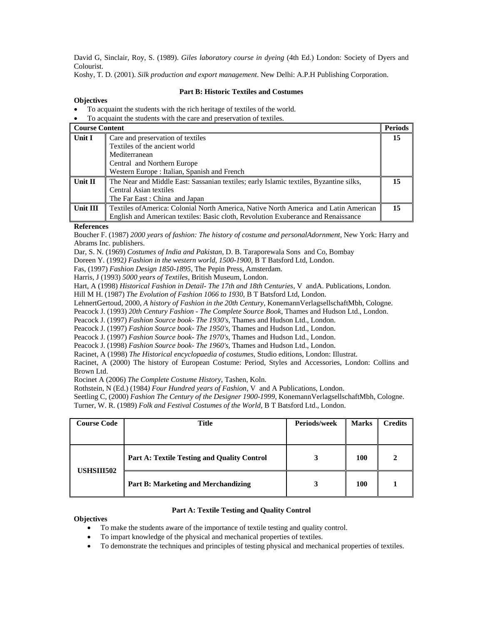David G, Sinclair, Roy, S. (1989). *Giles laboratory course in dyeing* (4th Ed.) London: Society of Dyers and Colourist.

Koshy, T. D. (2001). *Silk production and export management*. New Delhi: A.P.H Publishing Corporation.

#### **Objectives**

# **Part B: Historic Textiles and Costumes**

- To acquaint the students with the rich heritage of textiles of the world.
- To acquaint the students with the care and preservation of textiles.

| Course Content |                                                                                        | <b>Periods</b> |
|----------------|----------------------------------------------------------------------------------------|----------------|
| Unit I         | Care and preservation of textiles                                                      | 15             |
|                | Textiles of the ancient world                                                          |                |
|                | Mediterranean                                                                          |                |
|                | Central and Northern Europe                                                            |                |
|                | Western Europe: Italian, Spanish and French                                            |                |
| Unit II        | The Near and Middle East: Sassanian textiles; early Islamic textiles, Byzantine silks, |                |
|                | Central Asian textiles                                                                 |                |
|                | The Far East: China and Japan                                                          |                |
| Unit III       | Textiles of America: Colonial North America, Native North America and Latin American   | 15             |
|                | English and American textiles: Basic cloth, Revolution Exuberance and Renaissance      |                |

#### **References**

Boucher F. (1987) *2000 years of fashion: The history of costume and personalAdornment,* New York: Harry and Abrams Inc. publishers.

Dar, S. N. (1969) *Costumes of India and Pakistan*, D. B. Taraporewala Sons and Co, Bombay

Doreen Y. (1992*) Fashion in the western world, 1500-1900*, B T Batsford Ltd, London.

Fas, (1997) *Fashion Design 1850-1895*, The Pepin Press, Amsterdam.

Harris, J (1993) *5000 years of Textiles*, British Museum, London.

Hart, A (1998) *Historical Fashion in Detail- The 17th and 18th Centuries*, V andA. Publications, London*.* 

Hill M H. (1987) *The Evolution of Fashion 1066 to 1930*, B T Batsford Ltd, London.

LehnertGertoud, 2000, *A history of Fashion in the 20th Century*, KonemannVerlagsellschaftMbh, Cologne.

Peacock J. (1993) *20th Century Fashion - The Complete Source Book*, Thames and Hudson Ltd., London.

Peacock J. (1997) *Fashion Source book- The 1930's*, Thames and Hudson Ltd., London.

Peacock J. (1997) *Fashion Source book- The 1950's*, Thames and Hudson Ltd., London.

Peacock J. (1997) *Fashion Source book- The 1970's*, Thames and Hudson Ltd., London.

Peacock J. (1998) *Fashion Source book- The 1960's*, Thames and Hudson Ltd., London.

Racinet, A (1998) *The Historical encyclopaedia of costumes*, Studio editions, London: Illustrat.

Racinet, A (2000) The history of European Costume: Period, Styles and Accessories, London: Collins and Brown Ltd.

Rocinet A (2006) *The Complete Costume History*, Tashen, Koln.

Rothstein, N (Ed.) (1984*) Four Hundred years of Fashion*, V and A Publications, London.

Seetling C, (2000) Fashion The Century of the Designer 1900-1999, KonemannVerlagsellschaftMbh, Cologne.

Turner, W. R. (1989) *Folk and Festival Costumes of the World*, B T Batsford Ltd., London.

| <b>Course Code</b> | <b>Title</b>                                       | <b>Periods/week</b> | <b>Marks</b> | <b>Credits</b> |
|--------------------|----------------------------------------------------|---------------------|--------------|----------------|
| <b>USHSIII502</b>  | <b>Part A: Textile Testing and Quality Control</b> |                     | 100          |                |
|                    | <b>Part B: Marketing and Merchandizing</b>         |                     | 100          |                |

#### **Part A: Textile Testing and Quality Control**

## **Objectives**

- To make the students aware of the importance of textile testing and quality control.
- To impart knowledge of the physical and mechanical properties of textiles.
- To demonstrate the techniques and principles of testing physical and mechanical properties of textiles.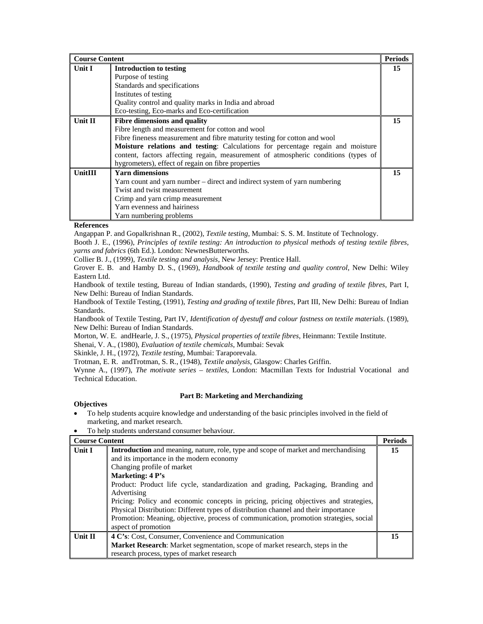| <b>Course Content</b> |                                                                                                                                                                                                                                                                                                                                                                                                     | <b>Periods</b> |
|-----------------------|-----------------------------------------------------------------------------------------------------------------------------------------------------------------------------------------------------------------------------------------------------------------------------------------------------------------------------------------------------------------------------------------------------|----------------|
| Unit I                | Introduction to testing<br>Purpose of testing<br>Standards and specifications<br>Institutes of testing<br>Quality control and quality marks in India and abroad                                                                                                                                                                                                                                     | 15             |
|                       | Eco-testing, Eco-marks and Eco-certification                                                                                                                                                                                                                                                                                                                                                        |                |
| Unit II               | <b>Fibre dimensions and quality</b><br>Fibre length and measurement for cotton and wool<br>Fibre fineness measurement and fibre maturity testing for cotton and wool<br>Moisture relations and testing: Calculations for percentage regain and moisture<br>content, factors affecting regain, measurement of atmospheric conditions (types of<br>hygrometers), effect of regain on fibre properties | 15             |
| <b>UnitIII</b>        | <b>Yarn dimensions</b><br>Yarn count and yarn number – direct and indirect system of yarn numbering<br>Twist and twist measurement<br>Crimp and yarn crimp measurement<br>Yarn evenness and hairiness<br>Yarn numbering problems                                                                                                                                                                    | 15             |

# **References**

Angappan P. and Gopalkrishnan R., (2002), *Textile testing*, Mumbai: S. S. M. Institute of Technology.

Booth J. E., (1996), *Principles of textile testing: An introduction to physical methods of testing textile fibres, yarns and fabrics* (6th Ed.). London: NewnesButterworths.

Collier B. J., (1999), *Textile testing and analysis*, New Jersey: Prentice Hall.

Grover E. B. and Hamby D. S., (1969), *Handbook of textile testing and quality control*, New Delhi: Wiley Eastern Ltd.

Handbook of textile testing, Bureau of Indian standards, (1990), *Testing and grading of textile fibres*, Part I, New Delhi: Bureau of Indian Standards.

Handbook of Textile Testing, (1991), *Testing and grading of textile fibres*, Part III, New Delhi: Bureau of Indian Standards.

Handbook of Textile Testing, Part IV, *Identification of dyestuff and colour fastness on textile materials*. (1989), New Delhi: Bureau of Indian Standards.

Morton, W. E. andHearle, J. S., (1975), *Physical properties of textile fibres*, Heinmann: Textile Institute.

Shenai, V. A., (1980), *Evaluation of textile chemicals*, Mumbai: Sevak

Skinkle, J. H., (1972), *Textile testing*, Mumbai: Taraporevala.

Trotman, E. R. andTrotman, S. R., (1948), *Textile analysis*, Glasgow: Charles Griffin.

Wynne A., (1997), *The motivate series – textiles*, London: Macmillan Texts for Industrial Vocational and Technical Education.

## **Part B: Marketing and Merchandizing**

## **Objectives**

- To help students acquire knowledge and understanding of the basic principles involved in the field of marketing, and market research.
- To help students understand consumer behaviour.

| <b>Course Content</b> |                                                                                                                                                                                                                                                                                                                                                                                                                                                                                                                                                                                     | <b>Periods</b> |
|-----------------------|-------------------------------------------------------------------------------------------------------------------------------------------------------------------------------------------------------------------------------------------------------------------------------------------------------------------------------------------------------------------------------------------------------------------------------------------------------------------------------------------------------------------------------------------------------------------------------------|----------------|
| Unit I                | Introduction and meaning, nature, role, type and scope of market and merchandising<br>and its importance in the modern economy<br>Changing profile of market<br>Marketing: 4 P's<br>Product: Product life cycle, standardization and grading, Packaging, Branding and<br>Advertising<br>Pricing: Policy and economic concepts in pricing, pricing objectives and strategies,<br>Physical Distribution: Different types of distribution channel and their importance<br>Promotion: Meaning, objective, process of communication, promotion strategies, social<br>aspect of promotion | 15             |
| <b>Unit II</b>        | 4 C's: Cost, Consumer, Convenience and Communication<br><b>Market Research:</b> Market segmentation, scope of market research, steps in the<br>research process, types of market research                                                                                                                                                                                                                                                                                                                                                                                           | 15             |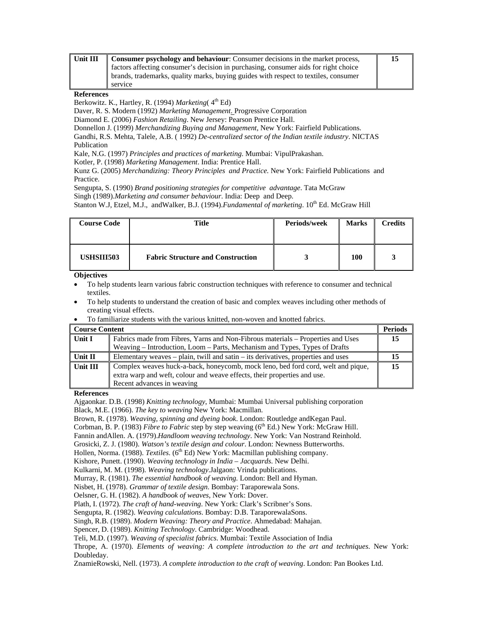| Unit III | <b>Consumer psychology and behaviour:</b> Consumer decisions in the market process, | 15 |
|----------|-------------------------------------------------------------------------------------|----|
|          | factors affecting consumer's decision in purchasing, consumer aids for right choice |    |
|          | brands, trademarks, quality marks, buying guides with respect to textiles, consumer |    |
|          | service                                                                             |    |

#### **References**

Berkowitz. K., Hartley, R. (1994) *Marketing* (4<sup>th</sup> Ed)

Daver, R. S. Modern (1992) *Marketing Management*. Progressive Corporation

Diamond E. (2006) *Fashion Retailing*. New Jersey: Pearson Prentice Hall.

Donnellon J. (1999) *Merchandizing Buying and Management*, New York: Fairfield Publications.

Gandhi, R.S. Mehta, Talele, A.B. ( 1992) *De-centralized sector of the Indian textile industry*. NICTAS Publication

Kale, N.G. (1997) *Principles and practices of marketing*. Mumbai: VipulPrakashan.

Kotler, P. (1998) *Marketing Management*. India: Prentice Hall.

Kunz G. (2005) *Merchandizing: Theory Principles and Practice.* New York: Fairfield Publications and Practice.

Sengupta, S. (1990) *Brand positioning strategies for competitive advantage*. Tata McGraw

Singh (1989).*Marketing and consumer behaviour*. India: Deep and Deep.

Stanton W.J, Etzel, M.J., and Walker, B.J. (1994).*Fundamental of marketing*. 10<sup>th</sup> Ed. McGraw Hill

| <b>Course Code</b> | Title                                    | Periods/week | <b>Marks</b> | Credits |
|--------------------|------------------------------------------|--------------|--------------|---------|
| <b>USHSIII503</b>  | <b>Fabric Structure and Construction</b> |              | 100          |         |

## **Objectives**

- To help students learn various fabric construction techniques with reference to consumer and technical textiles.
- To help students to understand the creation of basic and complex weaves including other methods of creating visual effects.

|  | To familiarize students with the various knitted, non-woven and knotted fabrics. |  |  |  |  |  |  |  |
|--|----------------------------------------------------------------------------------|--|--|--|--|--|--|--|
|--|----------------------------------------------------------------------------------|--|--|--|--|--|--|--|

| Course Content |                                                                                                                                                                                            | <b>Periods</b> |
|----------------|--------------------------------------------------------------------------------------------------------------------------------------------------------------------------------------------|----------------|
| Unit I         | Fabrics made from Fibres, Yarns and Non-Fibrous materials – Properties and Uses<br>Weaving – Introduction, Loom – Parts, Mechanism and Types, Types of Drafts                              | 15             |
| ∥ Unit II      | Elementary weaves – plain, twill and satin – its derivatives, properties and uses                                                                                                          | 15             |
| Unit III       | Complex weaves huck-a-back, honeycomb, mock leno, bed ford cord, welt and pique,<br>extra warp and weft, colour and weave effects, their properties and use.<br>Recent advances in weaving | 15             |

#### **References**

Ajgaonkar. D.B. (1998) *Knitting technology*, Mumbai: Mumbai Universal publishing corporation Black, M.E. (1966). *The key to weaving* New York: Macmillan.

Brown, R. (1978). *Weaving, spinning and dyeing book*. London: Routledge andKegan Paul.

Corbman, B. P. (1983) *Fibre to Fabric* step by step weaving (6<sup>th</sup> Ed.) New York: McGraw Hill.

Fannin andAllen. A. (1979).*Handloom weaving technology*. New York: Van Nostrand Reinhold.

Grosicki, Z. J. (1980). *Watson's textile design and colour*. London: Newness Butterworths.

Hollen, Norma. (1988). *Textiles*. (6<sup>th</sup> Ed) New York: Macmillan publishing company.

Kishore, Punett. (1990). *Weaving technology in India – Jacquards*. New Delhi.

Kulkarni, M. M. (1998). *Weaving technology*.Jalgaon: Vrinda publications.

Murray, R. (1981). *The essential handbook of weaving.* London: Bell and Hyman.

Nisbet, H. (1978). *Grammar of textile design*. Bombay: Taraporewala Sons.

Oelsner, G. H. (1982). *A handbook of weaves*, New York: Dover.

Plath, I. (1972). *The craft of hand-weaving*. New York: Clark's Scribner's Sons.

Sengupta, R. (1982). *Weaving calculations*. Bombay: D.B. TaraporewalaSons.

Singh, R.B. (1989). *Modern Weaving: Theory and Practice*. Ahmedabad: Mahajan.

Spencer, D. (1989). *Knitting Technology*. Cambridge: Woodhead.

Teli, M.D. (1997). *Weaving of specialist fabrics*. Mumbai: Textile Association of India

Thrope, A. (1970). *Elements of weaving: A complete introduction to the art and techniques*. New York: Doubleday.

ZnamieRowski, Nell. (1973). *A complete introduction to the craft of weaving*. London: Pan Bookes Ltd.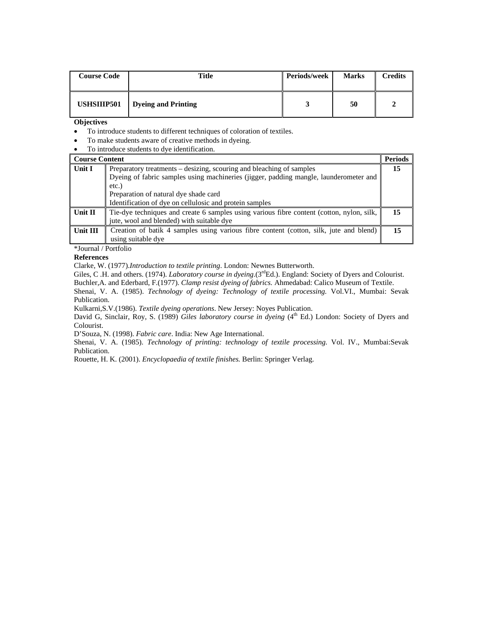| <b>Course Code</b> | Title               | Periods/week | <b>Marks</b> | Credits |
|--------------------|---------------------|--------------|--------------|---------|
| <b>USHSIIIP501</b> | Dyeing and Printing |              | 50           |         |

**Objectives**

- To introduce students to different techniques of coloration of textiles.
- To make students aware of creative methods in dyeing.
- To introduce students to dye identification.

| <b>Course Content</b> |                                                                                           | <b>Periods</b> |
|-----------------------|-------------------------------------------------------------------------------------------|----------------|
| Unit I                | Preparatory treatments – desizing, scouring and bleaching of samples                      | 15             |
|                       | Dyeing of fabric samples using machineries (jigger, padding mangle, launderometer and     |                |
|                       | $etc.$ )                                                                                  |                |
|                       | Preparation of natural dye shade card                                                     |                |
|                       | Identification of dye on cellulosic and protein samples                                   |                |
| Unit II               | Tie-dye techniques and create 6 samples using various fibre content (cotton, nylon, silk, | 15             |
|                       | jute, wool and blended) with suitable dye                                                 |                |
| Unit III              | Creation of batik 4 samples using various fibre content (cotton, silk, jute and blend)    | 15             |
|                       | using suitable dye                                                                        |                |

\*Journal / Portfolio

#### **References**

Clarke, W. (1977).*Introduction to textile printing*. London: Newnes Butterworth.

Giles, C .H. and others. (1974). *Laboratory course in dyeing*.(3<sup>rd</sup>Ed.). England: Society of Dyers and Colourist. Buchler,A. and Ederbard, F.(1977). *Clamp resist dyeing of fabrics.* Ahmedabad: Calico Museum of Textile.

Shenai, V. A. (1985). *Technology of dyeing: Technology of textile processing.* Vol.VI.*,* Mumbai: Sevak Publication.

Kulkarni,S.V.(1986). *Textile dyeing operations*. New Jersey: Noyes Publication.

David G, Sinclair, Roy, S. (1989) *Giles laboratory course in dyeing* (4<sup>th</sup> Ed.) London: Society of Dyers and Colourist.

D'Souza, N. (1998). *Fabric care*. India: New Age International.

Shenai, V. A. (1985). *Technology of printing: technology of textile processing.* Vol. IV.*,* Mumbai:Sevak Publication.

Rouette, H. K. (2001). *Encyclopaedia of textile finishes.* Berlin: Springer Verlag.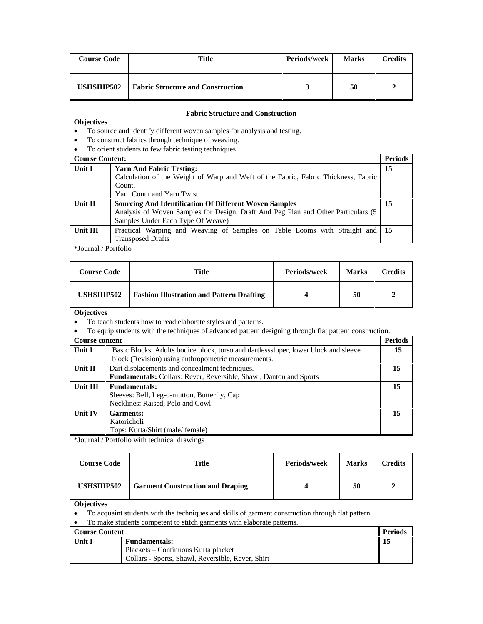| <b>Course Code</b> | <b>Title</b>                             | Periods/week | <b>Marks</b> | Credits |
|--------------------|------------------------------------------|--------------|--------------|---------|
| USHSIIIP502        | <b>Fabric Structure and Construction</b> |              | 50           |         |

#### **Fabric Structure and Construction**

# **Objectives**

- To source and identify different woven samples for analysis and testing.
- To construct fabrics through technique of weaving.
- To orient students to few fabric testing techniques.

| <b>Course Content:</b> |                                                                                                                                                                                          | <b>Periods</b> |
|------------------------|------------------------------------------------------------------------------------------------------------------------------------------------------------------------------------------|----------------|
| Unit I                 | <b>Yarn And Fabric Testing:</b><br>Calculation of the Weight of Warp and Weft of the Fabric, Fabric Thickness, Fabric                                                                    | 15             |
|                        | Count.<br>Yarn Count and Yarn Twist.                                                                                                                                                     |                |
| Unit II                | <b>Sourcing And Identification Of Different Woven Samples</b><br>Analysis of Woven Samples for Design, Draft And Peg Plan and Other Particulars (5)<br>Samples Under Each Type Of Weave) | 15             |
| Unit III               | Practical Warping and Weaving of Samples on Table Looms with Straight and 15<br><b>Transposed Drafts</b>                                                                                 |                |

\*Journal / Portfolio

| <b>Course Code</b> | Title                                            | Periods/week | <b>Marks</b> | <b>Credits</b> |
|--------------------|--------------------------------------------------|--------------|--------------|----------------|
| <b>USHSIIIP502</b> | <b>Fashion Illustration and Pattern Drafting</b> |              | 50           |                |

**Objectives** 

- To teach students how to read elaborate styles and patterns.
- To equip students with the techniques of advanced pattern designing through flat pattern construction.

| <b>Course content</b> |                                                                                     | <b>Periods</b> |  |  |
|-----------------------|-------------------------------------------------------------------------------------|----------------|--|--|
| Unit I                | Basic Blocks: Adults bodice block, torso and dartless oleer, lower block and sleeve |                |  |  |
|                       | block (Revision) using anthropometric measurements.                                 |                |  |  |
| Unit II               | Dart displacements and concealment techniques.                                      | 15             |  |  |
|                       | <b>Fundamentals:</b> Collars: Rever, Reversible, Shawl, Danton and Sports           |                |  |  |
| Unit III              | <b>Fundamentals:</b>                                                                | 15             |  |  |
|                       | Sleeves: Bell, Leg-o-mutton, Butterfly, Cap                                         |                |  |  |
|                       | Necklines: Raised, Polo and Cowl.                                                   |                |  |  |
| <b>Unit IV</b>        | <b>Garments:</b>                                                                    | 15             |  |  |
|                       | Katoricholi                                                                         |                |  |  |
|                       | Tops: Kurta/Shirt (male/female)                                                     |                |  |  |

\*Journal / Portfolio with technical drawings

| <b>Course Code</b> | Title                                   | Periods/week | <b>Marks</b> | Credits |
|--------------------|-----------------------------------------|--------------|--------------|---------|
| USHSIIIP502        | <b>Garment Construction and Draping</b> |              | 50           |         |

**Objectives**

• To acquaint students with the techniques and skills of garment construction through flat pattern.

• To make students competent to stitch garments with elaborate patterns.

| Course Content |                                                   | <b>Periods</b> |
|----------------|---------------------------------------------------|----------------|
| l Unit I       | <b>Fundamentals:</b>                              |                |
|                | Plackets – Continuous Kurta placket               |                |
|                | Collars - Sports, Shawl, Reversible, Rever, Shirt |                |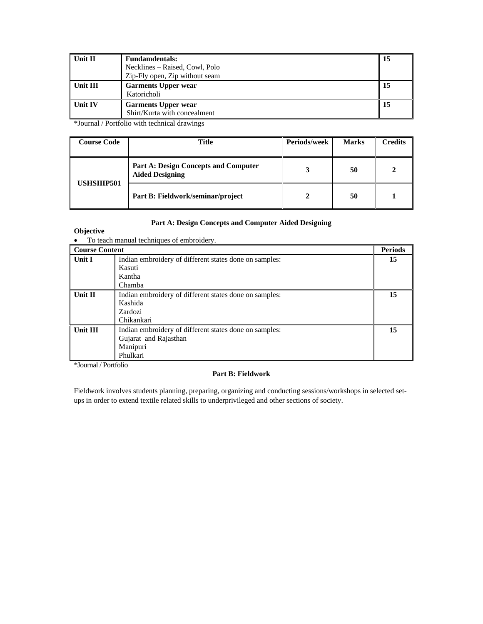| Unit II  | <b>Fundamdentals:</b>          | 15 |
|----------|--------------------------------|----|
|          | Necklines – Raised, Cowl, Polo |    |
|          | Zip-Fly open, Zip without seam |    |
| Unit III | <b>Garments Upper wear</b>     | 15 |
|          | Katoricholi                    |    |
| Unit IV  | <b>Garments Upper wear</b>     | 15 |
|          | Shirt/Kurta with concealment   |    |

\*Journal / Portfolio with technical drawings

| <b>Course Code</b> | Title                                                                 | <b>Periods/week</b> | <b>Marks</b> | <b>Credits</b> |
|--------------------|-----------------------------------------------------------------------|---------------------|--------------|----------------|
|                    | <b>Part A: Design Concepts and Computer</b><br><b>Aided Designing</b> |                     | 50           |                |
| <b>USHSIIIP501</b> | Part B: Fieldwork/seminar/project                                     |                     | 50           |                |

## **Part A: Design Concepts and Computer Aided Designing**

# **Objective**

• To teach manual techniques of embroidery.

| <b>Course Content</b> |                                                        | <b>Periods</b> |
|-----------------------|--------------------------------------------------------|----------------|
| <b>Unit I</b>         | Indian embroidery of different states done on samples: | 15             |
|                       | Kasuti                                                 |                |
|                       | Kantha                                                 |                |
|                       | Chamba                                                 |                |
| Unit II               | Indian embroidery of different states done on samples: | 15             |
|                       | Kashida                                                |                |
|                       | Zardozi                                                |                |
|                       | Chikankari                                             |                |
| Unit III              | Indian embroidery of different states done on samples: | 15             |
|                       | Gujarat and Rajasthan                                  |                |
|                       | Manipuri                                               |                |
|                       | Phulkari                                               |                |

\*Journal / Portfolio

# **Part B: Fieldwork**

Fieldwork involves students planning, preparing, organizing and conducting sessions/workshops in selected setups in order to extend textile related skills to underprivileged and other sections of society.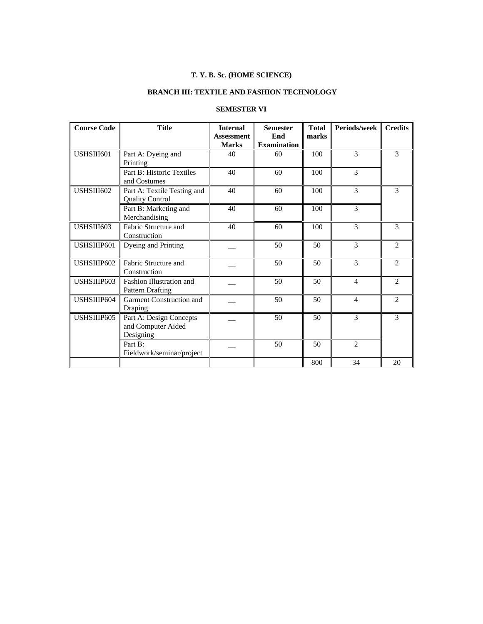# **T. Y. B. Sc. (HOME SCIENCE)**

# **BRANCH III: TEXTILE AND FASHION TECHNOLOGY**

# **SEMESTER VI**

| <b>Course Code</b> | <b>Title</b>                                               | <b>Internal</b><br><b>Assessment</b><br><b>Marks</b> | <b>Semester</b><br>End<br><b>Examination</b> | <b>Total</b><br>marks | Periods/week   | <b>Credits</b> |
|--------------------|------------------------------------------------------------|------------------------------------------------------|----------------------------------------------|-----------------------|----------------|----------------|
| USHSIII601         | Part A: Dyeing and<br>Printing                             | 40                                                   | 60                                           | 100                   | 3              | 3              |
|                    | Part B: Historic Textiles<br>and Costumes                  | 40                                                   | 60                                           | 100                   | 3              |                |
| USHSIII602         | Part A: Textile Testing and<br><b>Quality Control</b>      | 40                                                   | 60                                           | 100                   | 3              | 3              |
|                    | Part B: Marketing and<br>Merchandising                     | 40                                                   | 60                                           | 100                   | 3              |                |
| USHSIII603         | Fabric Structure and<br>Construction                       | 40                                                   | 60                                           | 100                   | 3              | 3              |
| USHSIIIP601        | Dyeing and Printing                                        |                                                      | 50                                           | 50                    | 3              | $\overline{2}$ |
| USHSIIIP602        | Fabric Structure and<br>Construction                       |                                                      | 50                                           | 50                    | 3              | $\overline{2}$ |
| USHSIIIP603        | Fashion Illustration and<br><b>Pattern Drafting</b>        |                                                      | 50                                           | 50                    | 4              | $\overline{2}$ |
| USHSIIIP604        | Garment Construction and<br>Draping                        |                                                      | 50                                           | 50                    | $\overline{4}$ | $\overline{2}$ |
| USHSIIIP605        | Part A: Design Concepts<br>and Computer Aided<br>Designing |                                                      | 50                                           | 50                    | $\mathcal{E}$  | 3              |
|                    | Part B:<br>Fieldwork/seminar/project                       |                                                      | 50                                           | 50                    | $\mathfrak{D}$ |                |
|                    |                                                            |                                                      |                                              | 800                   | 34             | 20             |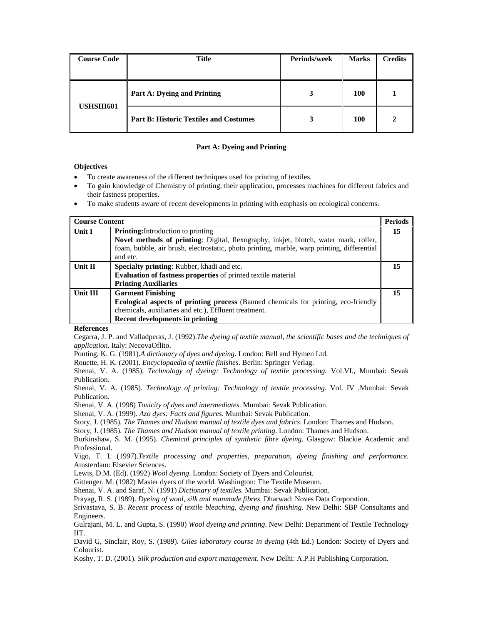| <b>Course Code</b> | <b>Title</b>                                  | Periods/week | <b>Marks</b> | <b>Credits</b> |
|--------------------|-----------------------------------------------|--------------|--------------|----------------|
|                    |                                               |              |              |                |
|                    | Part A: Dyeing and Printing                   |              | <b>100</b>   |                |
| USHSIII601         | <b>Part B: Historic Textiles and Costumes</b> |              | <b>100</b>   |                |

#### **Part A: Dyeing and Printing**

## **Objectives**

- To create awareness of the different techniques used for printing of textiles.
- To gain knowledge of Chemistry of printing, their application, processes machines for different fabrics and their fastness properties.
- To make students aware of recent developments in printing with emphasis on ecological concerns.

| <b>Course Content</b> |                                                                                                         | <b>Periods</b> |
|-----------------------|---------------------------------------------------------------------------------------------------------|----------------|
| Unit I                | <b>Printing:</b> Introduction to printing                                                               | 15             |
|                       | Novel methods of printing: Digital, flexography, inkjet, blotch, water mark, roller,                    |                |
|                       | foam, bubble, air brush, electrostatic, photo printing, marble, warp printing, differential<br>and etc. |                |
| Unit II               | <b>Specialty printing:</b> Rubber, khadi and etc.                                                       | 15             |
|                       | <b>Evaluation of fastness properties</b> of printed textile material                                    |                |
|                       | <b>Printing Auxiliaries</b>                                                                             |                |
| Unit III              | <b>Garment Finishing</b>                                                                                | 15             |
|                       | <b>Ecological aspects of printing process</b> (Banned chemicals for printing, eco-friendly              |                |
|                       | chemicals, auxiliaries and etc.), Effluent treatment.                                                   |                |
|                       | Recent developments in printing                                                                         |                |

#### **References**

Cegarra, J. P. and Valladperas, J. (1992).*The dyeing of textile manual, the scientific bases and the techniques of application*. Italy: NecovaOflito.

Ponting, K. G. (1981).*A dictionary of dyes and dyeing*. London: Bell and Hymen Ltd.

Rouette, H. K. (2001). *Encyclopaedia of textile finishes*. Berlin: Springer Verlag.

Shenai, V. A. (1985). *Technology of dyeing: Technology of textile processing.* Vol.VI.*,* Mumbai: Sevak Publication.

Shenai, V. A. (1985). *Technology of printing: Technology of textile processing.* Vol. IV *,*Mumbai: Sevak Publication.

Shenai, V. A. (1998) *Toxicity of dyes and intermediates.* Mumbai: Sevak Publication.

Shenai, V. A. (1999)*. Azo dyes: Facts and figures.* Mumbai: Sevak Publication.

Story, J. (1985). *The Thames and Hudson manual of textile dyes and fabrics*. London: Thames and Hudson.

Story, J. (1985). *The Thames and Hudson manual of textile printing*. London: Thames and Hudson.

Burkinshaw, S. M. (1995). *Chemical principles of synthetic fibre dyeing.* Glasgow: Blackie Academic and Professional.

Vigo, T. L (1997).*Textile processing and properties, preparation, dyeing finishing and performance.* Amsterdam: Elsevier Sciences.

Lewis, D.M. (Ed). (1992) *Wool dyeing*. London: Society of Dyers and Colourist.

Gittenger, M. (1982) Master dyers of the world. Washington: The Textile Museum.

Shenai, V. A. and Saraf, N. (1991) *Dictionary of textiles.* Mumbai: Sevak Publication.

Prayag, R. S. (1989). *Dyeing of wool, silk and manmade fibres*. Dharwad: Noves Data Corporation.

Srivastava, S. B. *Recent process of textile bleaching, dyeing and finishing*. New Delhi: SBP Consultants and Engineers.

Gulrajani, M. L. and Gupta, S. (1990) *Wool dyeing and printing*. New Delhi: Department of Textile Technology IIT.

David G, Sinclair, Roy, S. (1989). *Giles laboratory course in dyeing* (4th Ed.) London: Society of Dyers and Colourist.

Koshy, T. D. (2001). *Silk production and export management*. New Delhi: A.P.H Publishing Corporation.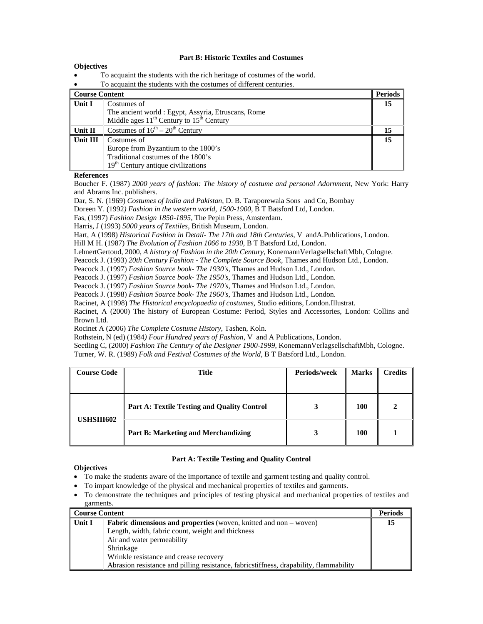#### **Part B: Historic Textiles and Costumes**

#### **Objectives**

- To acquaint the students with the rich heritage of costumes of the world.
- To acquaint the students with the costumes of different centuries.

| Course Content |                                                     | <b>Periods</b> |
|----------------|-----------------------------------------------------|----------------|
| Unit I         | Costumes of                                         | 15             |
|                | The ancient world : Egypt, Assyria, Etruscans, Rome |                |
|                | Middle ages $11^{th}$ Century to $15^{th}$ Century  |                |
| Unit II        | Costumes of $16^{th} - 20^{th}$ Century             | 15             |
| Unit III       | Costumes of                                         | 15             |
|                | Europe from Byzantium to the 1800's                 |                |
|                | Traditional costumes of the 1800's                  |                |
|                | $19th$ Century antique civilizations                |                |

#### **References**

Boucher F. (1987) *2000 years of fashion: The history of costume and personal Adornment,* New York: Harry and Abrams Inc. publishers.

Dar, S. N. (1969) *Costumes of India and Pakistan*, D. B. Taraporewala Sons and Co, Bombay

Doreen Y. (1992*) Fashion in the western world, 1500-1900*, B T Batsford Ltd, London.

Fas, (1997) *Fashion Design 1850-1895*, The Pepin Press, Amsterdam.

Harris, J (1993) *5000 years of Textiles*, British Museum, London.

Hart, A (1998) *Historical Fashion in Detail- The 17th and 18th Centuries*, V andA.Publications, London*.* 

Hill M H. (1987) *The Evolution of Fashion 1066 to 1930*, B T Batsford Ltd, London.

LehnertGertoud, 2000, *A history of Fashion in the 20th Century*, KonemannVerlagsellschaftMbh, Cologne.

Peacock J. (1993) *20th Century Fashion - The Complete Source Book*, Thames and Hudson Ltd., London.

Peacock J. (1997) *Fashion Source book- The 1930's*, Thames and Hudson Ltd., London.

Peacock J. (1997) *Fashion Source book- The 1950's*, Thames and Hudson Ltd., London.

Peacock J. (1997) *Fashion Source book- The 1970's*, Thames and Hudson Ltd., London.

Peacock J. (1998) *Fashion Source book- The 1960's*, Thames and Hudson Ltd., London.

Racinet, A (1998) *The Historical encyclopaedia of costumes*, Studio editions, London.Illustrat.

Racinet, A (2000) The history of European Costume: Period, Styles and Accessories, London: Collins and Brown Ltd.

Rocinet A (2006) *The Complete Costume History*, Tashen, Koln.

Rothstein, N (ed) (1984*) Four Hundred years of Fashion*, V and A Publications, London.

Seetling C, (2000) *Fashion The Century of the Designer 1900-1999*, KonemannVerlagsellschaftMbh, Cologne. Turner, W. R. (1989) *Folk and Festival Costumes of the World*, B T Batsford Ltd., London.

| <b>Course Code</b> | <b>Title</b>                                | Periods/week | <b>Marks</b> | <b>Credits</b> |
|--------------------|---------------------------------------------|--------------|--------------|----------------|
|                    |                                             |              |              |                |
| <b>USHSIII602</b>  | Part A: Textile Testing and Quality Control |              | 100          |                |
|                    | <b>Part B: Marketing and Merchandizing</b>  | 3            | 100          |                |

# **Part A: Textile Testing and Quality Control**

#### **Objectives**

- To make the students aware of the importance of textile and garment testing and quality control.
- To impart knowledge of the physical and mechanical properties of textiles and garments.
- To demonstrate the techniques and principles of testing physical and mechanical properties of textiles and garments.

| Course Content |                                                                                         | <b>Periods</b> |
|----------------|-----------------------------------------------------------------------------------------|----------------|
| Unit I         | <b>Fabric dimensions and properties</b> (woven, knitted and non – woven)                | 15             |
|                | Length, width, fabric count, weight and thickness                                       |                |
|                | Air and water permeability                                                              |                |
|                | Shrinkage                                                                               |                |
|                | Wrinkle resistance and crease recovery                                                  |                |
|                | Abrasion resistance and pilling resistance, fabric stiffness, drapability, flammability |                |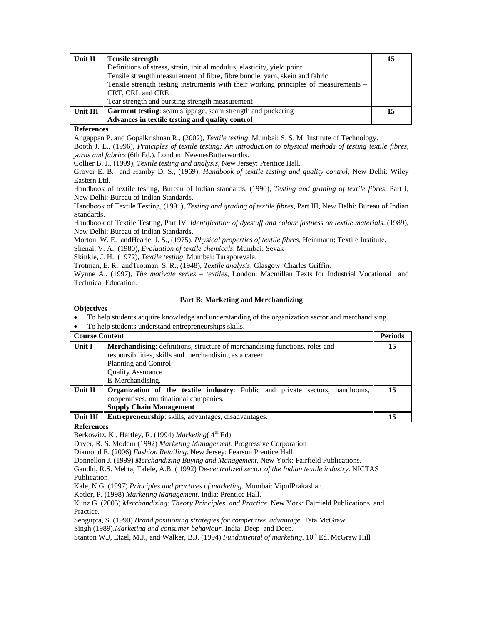| Unit II  | <b>Tensile strength</b>                                                              | 15 |
|----------|--------------------------------------------------------------------------------------|----|
|          | Definitions of stress, strain, initial modulus, elasticity, yield point              |    |
|          | Tensile strength measurement of fibre, fibre bundle, yarn, skein and fabric.         |    |
|          | Tensile strength testing instruments with their working principles of measurements – |    |
|          | CRT, CRL and CRE                                                                     |    |
|          | Tear strength and bursting strength measurement                                      |    |
| Unit III | <b>Garment testing:</b> seam slippage, seam strength and puckering                   | 15 |
|          | Advances in textile testing and quality control                                      |    |

#### **References**

Angappan P. and Gopalkrishnan R., (2002), *Textile testing*, Mumbai: S. S. M. Institute of Technology.

Booth J. E., (1996), *Principles of textile testing: An introduction to physical methods of testing textile fibres, yarns and fabrics* (6th Ed.). London: NewnesButterworths.

Collier B. J., (1999), *Textile testing and analysis*, New Jersey: Prentice Hall.

Grover E. B. and Hamby D. S., (1969), *Handbook of textile testing and quality control*, New Delhi: Wiley Eastern Ltd.

Handbook of textile testing, Bureau of Indian standards, (1990), *Testing and grading of textile fibres*, Part I, New Delhi: Bureau of Indian Standards.

Handbook of Textile Testing, (1991), *Testing and grading of textile fibres*, Part III, New Delhi: Bureau of Indian Standards.

Handbook of Textile Testing, Part IV, *Identification of dyestuff and colour fastness on textile materials*. (1989), New Delhi: Bureau of Indian Standards.

Morton, W. E. andHearle, J. S., (1975), *Physical properties of textile fibres*, Heinmann: Textile Institute.

Shenai, V. A., (1980), *Evaluation of textile chemicals*, Mumbai: Sevak

Skinkle, J. H., (1972), *Textile testing*, Mumbai: Taraporevala.

Trotman, E. R. andTrotman, S. R., (1948), *Textile analysis*, Glasgow: Charles Griffin.

Wynne A., (1997), *The motivate series – textiles*, London: Macmillan Texts for Industrial Vocational and Technical Education.

#### **Part B: Marketing and Merchandizing**

## **Objectives**

• To help students acquire knowledge and understanding of the organization sector and merchandising.

• To help students understand entrepreneurships skills.

| Course Content |                                                                                                                                                                                                                      | <b>Periods</b> |
|----------------|----------------------------------------------------------------------------------------------------------------------------------------------------------------------------------------------------------------------|----------------|
| Unit I         | <b>Merchandising:</b> definitions, structure of merchandising functions, roles and<br>responsibilities, skills and merchandising as a career<br>Planning and Control<br><b>Quality Assurance</b><br>E-Merchandising. | 15             |
| Unit II        | <b>Organization of the textile industry:</b> Public and private sectors, handlooms,<br>cooperatives, multinational companies.<br><b>Supply Chain Management</b>                                                      | 15             |
| Unit III       | <b>Entrepreneurship:</b> skills, advantages, disadvantages.                                                                                                                                                          |                |

# **References**

Berkowitz. K., Hartley, R. (1994) *Marketing*( $4<sup>th</sup> Ed$ )

Daver, R. S. Modern (1992) *Marketing Management*. Progressive Corporation

Diamond E. (2006) *Fashion Retailing*. New Jersey: Pearson Prentice Hall.

Donnellon J. (1999) *Merchandizing Buying and Management*, New York: Fairfield Publications.

Gandhi, R.S. Mehta, Talele, A.B. ( 1992) *De-centralized sector of the Indian textile industry*. NICTAS Publication

Kale, N.G. (1997) *Principles and practices of marketing*. Mumbai: VipulPrakashan.

Kotler, P. (1998) *Marketing Management*. India: Prentice Hall.

Kunz G. (2005) *Merchandizing: Theory Principles and Practice.* New York: Fairfield Publications and Practice.

Sengupta, S. (1990) *Brand positioning strategies for competitive advantage*. Tata McGraw

Singh (1989).*Marketing and consumer behaviour*. India: Deep and Deep.

Stanton W.J, Etzel, M.J., and Walker, B.J. (1994).*Fundamental of marketing*. 10<sup>th</sup> Ed. McGraw Hill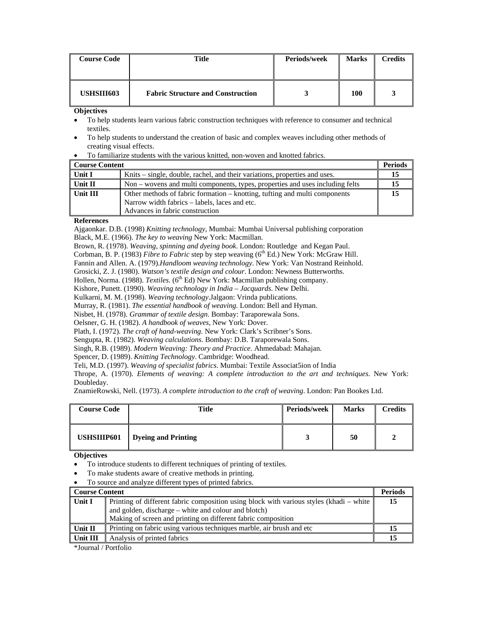| <b>Course Code</b> | Title                                    | Periods/week | <b>Marks</b> | Credits |
|--------------------|------------------------------------------|--------------|--------------|---------|
| USHSIII603         | <b>Fabric Structure and Construction</b> |              | 100          |         |

**Objectives** 

- To help students learn various fabric construction techniques with reference to consumer and technical textiles.
- To help students to understand the creation of basic and complex weaves including other methods of creating visual effects.

|  | To familiarize students with the various knitted, non-woven and knotted fabrics. |
|--|----------------------------------------------------------------------------------|
|--|----------------------------------------------------------------------------------|

| Course Content |                                                                                                                             | <b>Periods</b> |
|----------------|-----------------------------------------------------------------------------------------------------------------------------|----------------|
| Unit I         | Knits – single, double, rachel, and their variations, properties and uses.                                                  |                |
| ∣ Unit II      | Non – wovens and multi components, types, properties and uses including felts                                               |                |
| Unit III       | Other methods of fabric formation – knotting, tufting and multi components<br>Narrow width fabrics – labels, laces and etc. | 15             |
|                | Advances in fabric construction                                                                                             |                |

#### **References**

Ajgaonkar. D.B. (1998) *Knitting technology*, Mumbai: Mumbai Universal publishing corporation Black, M.E. (1966). *The key to weaving* New York: Macmillan.

Brown, R. (1978). *Weaving, spinning and dyeing book*. London: Routledge and Kegan Paul.

Corbman, B. P. (1983) *Fibre to Fabric* step by step weaving (6<sup>th</sup> Ed.) New York: McGraw Hill.

Fannin and Allen. A. (1979).*Handloom weaving technology*. New York: Van Nostrand Reinhold.

Grosicki, Z. J. (1980). *Watson's textile design and colour*. London: Newness Butterworths.

Hollen, Norma. (1988). *Textiles*. (6<sup>th</sup> Ed) New York: Macmillan publishing company.

Kishore, Punett. (1990). *Weaving technology in India – Jacquards*. New Delhi.

Kulkarni, M. M. (1998). *Weaving technology*.Jalgaon: Vrinda publications.

Murray, R. (1981). *The essential handbook of weaving.* London: Bell and Hyman.

Nisbet, H. (1978). *Grammar of textile design*. Bombay: Taraporewala Sons.

Oelsner, G. H. (1982). *A handbook of weaves*, New York: Dover.

Plath, I. (1972). *The craft of hand-weaving*. New York: Clark's Scribner's Sons.

Sengupta, R. (1982). *Weaving calculations*. Bombay: D.B. Taraporewala Sons.

Singh, R.B. (1989). *Modern Weaving: Theory and Practice*. Ahmedabad: Mahajan.

Spencer, D. (1989). *Knitting Technology*. Cambridge: Woodhead.

Teli, M.D. (1997). *Weaving of specialist fabrics*. Mumbai: Textile Associat5ion of India

Thrope, A. (1970). *Elements of weaving: A complete introduction to the art and techniques*. New York: Doubleday.

ZnamieRowski, Nell. (1973). *A complete introduction to the craft of weaving*. London: Pan Bookes Ltd.

| <b>Course Code</b> | Title                      | Periods/week | <b>Marks</b> | Credits |
|--------------------|----------------------------|--------------|--------------|---------|
| USHSIIIP601        | <b>Dyeing and Printing</b> |              | 50           |         |

#### **Objectives**

• To introduce students to different techniques of printing of textiles.

- To make students aware of creative methods in printing.
- To source and analyze different types of printed fabrics.

| ∥ Course Content |                                                                                         | <b>Periods</b> |
|------------------|-----------------------------------------------------------------------------------------|----------------|
| Unit I           | Printing of different fabric composition using block with various styles (khadi – white | 15             |
|                  | and golden, discharge – white and colour and blotch)                                    |                |
|                  | Making of screen and printing on different fabric composition                           |                |
| ∣ Unit II        | Printing on fabric using various techniques marble, air brush and etc                   | 15             |
| Unit III         | Analysis of printed fabrics                                                             | 15             |

\*Journal / Portfolio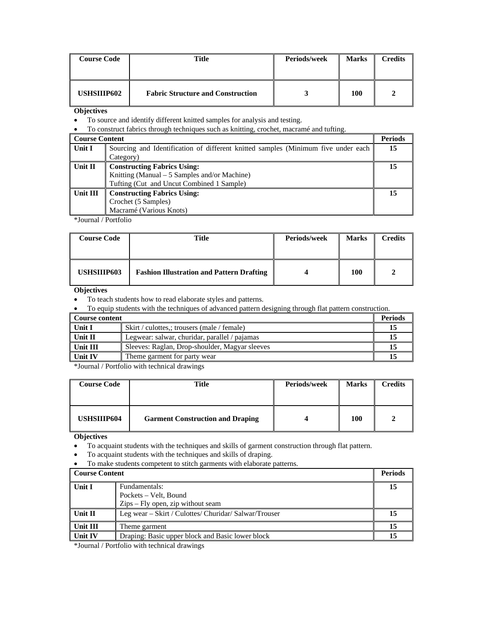| <b>Course Code</b> | Title                                    | Periods/week | <b>Marks</b> | Credits |
|--------------------|------------------------------------------|--------------|--------------|---------|
| <b>USHSIIIP602</b> | <b>Fabric Structure and Construction</b> |              | 100          |         |

**Objectives** 

• To source and identify different knitted samples for analysis and testing.

• To construct fabrics through techniques such as knitting, crochet, macramé and tufting.

| <b>Course Content</b> |                                                                                   | <b>Periods</b> |
|-----------------------|-----------------------------------------------------------------------------------|----------------|
| Unit I                | Sourcing and Identification of different knitted samples (Minimum five under each | 15             |
|                       | Category)                                                                         |                |
| Unit $\Pi$            | <b>Constructing Fabrics Using:</b>                                                | 15             |
|                       | Knitting (Manual – 5 Samples and/or Machine)                                      |                |
|                       | Tufting (Cut and Uncut Combined 1 Sample)                                         |                |
| Unit III              | <b>Constructing Fabrics Using:</b>                                                | 15             |
|                       | Crochet (5 Samples)                                                               |                |
|                       | Macramé (Various Knots)                                                           |                |

\*Journal / Portfolio

| <b>Course Code</b> | Title                                            | <b>Periods/week</b> | <b>Marks</b> | Credits |
|--------------------|--------------------------------------------------|---------------------|--------------|---------|
| USHSIIIP603        | <b>Fashion Illustration and Pattern Drafting</b> |                     | 100          |         |

# **Objectives**

• To teach students how to read elaborate styles and patterns.

| To equip students with the techniques of advanced pattern designing through flat pattern construction. |                                                |                |
|--------------------------------------------------------------------------------------------------------|------------------------------------------------|----------------|
| Course content                                                                                         |                                                | <b>Periods</b> |
| Unit I                                                                                                 | Skirt / culottes,; trousers (male / female)    | -15            |
| Unit II                                                                                                | Legwear: salwar, churidar, parallel / pajamas  |                |
| Unit III                                                                                               | Sleeves: Raglan, Drop-shoulder, Magyar sleeves |                |
| Unit IV                                                                                                | Theme garment for party wear                   |                |

\*Journal / Portfolio with technical drawings

| <b>Course Code</b> | Title                                   | Periods/week | <b>Marks</b> | Credits |
|--------------------|-----------------------------------------|--------------|--------------|---------|
| USHSIIIP604        | <b>Garment Construction and Draping</b> |              | 100          |         |

**Objectives**

• To acquaint students with the techniques and skills of garment construction through flat pattern.

• To acquaint students with the techniques and skills of draping.

• To make students competent to stitch garments with elaborate patterns.

| Course Content |                                                            | <b>Periods</b> |
|----------------|------------------------------------------------------------|----------------|
| Unit I         | Fundamentals:                                              | 15             |
|                | Pockets – Velt, Bound<br>Zips – Fly open, zip without seam |                |
| Unit II        | Leg wear – Skirt / Culottes/ Churidar/ Salwar/Trouser      | 15             |
| Unit III       | Theme garment                                              | 15             |
| Unit IV        | Draping: Basic upper block and Basic lower block           | 15             |

\*Journal / Portfolio with technical drawings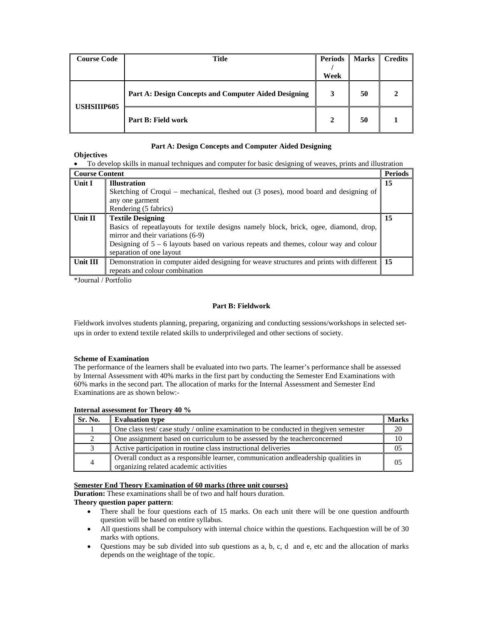| <b>Course Code</b> | <b>Title</b>                                         | <b>Periods</b> | <b>Marks</b> | <b>Credits</b> |
|--------------------|------------------------------------------------------|----------------|--------------|----------------|
|                    |                                                      | Week           |              |                |
| <b>USHSIIIP605</b> | Part A: Design Concepts and Computer Aided Designing |                | 50           |                |
|                    | Part B: Field work                                   |                | 50           |                |

# **Part A: Design Concepts and Computer Aided Designing**

## **Objectives**

| <b>Course Content</b> |                                                                                                                                                                                                                                                                               | <b>Periods</b> |
|-----------------------|-------------------------------------------------------------------------------------------------------------------------------------------------------------------------------------------------------------------------------------------------------------------------------|----------------|
| Unit I                | <b>Illustration</b><br>Sketching of Croqui – mechanical, fleshed out (3 poses), mood board and designing of<br>any one garment<br>Rendering (5 fabrics)                                                                                                                       | 15             |
| Unit II               | <b>Textile Designing</b><br>Basics of repeatlayouts for textile designs namely block, brick, ogee, diamond, drop,<br>mirror and their variations (6-9)<br>Designing of $5 - 6$ layouts based on various repeats and themes, colour way and colour<br>separation of one layout | 15             |
| Unit III              | Demonstration in computer aided designing for weave structures and prints with different<br>repeats and colour combination                                                                                                                                                    | <sup>15</sup>  |

\*Journal / Portfolio

## **Part B: Fieldwork**

Fieldwork involves students planning, preparing, organizing and conducting sessions/workshops in selected setups in order to extend textile related skills to underprivileged and other sections of society.

#### **Scheme of Examination**

The performance of the learners shall be evaluated into two parts. The learner's performance shall be assessed by Internal Assessment with 40% marks in the first part by conducting the Semester End Examinations with 60% marks in the second part. The allocation of marks for the Internal Assessment and Semester End Examinations are as shown below:-

#### **Internal assessment for Theory 40 %**

| Sr. No. | <b>Evaluation type</b>                                                                                                        | <b>Marks</b> |
|---------|-------------------------------------------------------------------------------------------------------------------------------|--------------|
|         | One class test/case study/online examination to be conducted in the given semester                                            |              |
| 2       | One assignment based on curriculum to be assessed by the teacher concerned                                                    |              |
|         | Active participation in routine class instructional deliveries                                                                |              |
| 4       | Overall conduct as a responsible learner, communication and leadership qualities in<br>organizing related academic activities | 05           |

# **Semester End Theory Examination of 60 marks (three unit courses)**

**Duration:** These examinations shall be of two and half hours duration.

# **Theory question paper pattern**:

- There shall be four questions each of 15 marks. On each unit there will be one question and fourth question will be based on entire syllabus.
- All questions shall be compulsory with internal choice within the questions. Each question will be of 30 marks with options.
- Questions may be sub divided into sub questions as a, b, c, d and e, etc and the allocation of marks depends on the weightage of the topic.